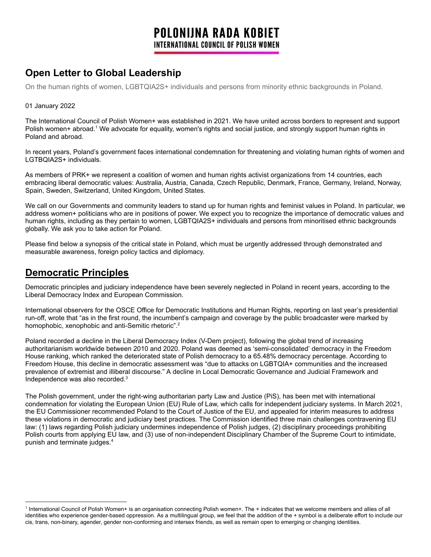# **Open Letter to Global Leadership**

On the human rights of women, LGBTQIA2S+ individuals and persons from minority ethnic backgrounds in Poland.

#### 01 January 2022

The International Council of Polish Women+ was established in 2021. We have united across borders to represent and support Polish women+ abroad.<sup>1</sup> We advocate for equality, women's rights and social justice, and strongly support human rights in Poland and abroad.

In recent years, Poland's government faces international condemnation for threatening and violating human rights of women and LGTBQIA2S+ individuals.

As members of PRK+ we represent a coalition of women and human rights activist organizations from 14 countries, each embracing liberal democratic values: Australia, Austria, Canada, Czech Republic, Denmark, France, Germany, Ireland, Norway, Spain, Sweden, Switzerland, United Kingdom, United States.

We call on our Governments and community leaders to stand up for human rights and feminist values in Poland. In particular, we address women+ politicians who are in positions of power. We expect you to recognize the importance of democratic values and human rights, including as they pertain to women, LGBTQIA2S+ individuals and persons from minoritised ethnic backgrounds globally. We ask you to take action for Poland.

Please find below a synopsis of the critical state in Poland, which must be urgently addressed through demonstrated and measurable awareness, foreign policy tactics and diplomacy.

#### **Democratic Principles**

Democratic principles and judiciary independence have been severely neglected in Poland in recent years, according to the Liberal Democracy Index and European Commission.

International observers for the OSCE Office for Democratic Institutions and Human Rights, reporting on last year's presidential run-off, wrote that "as in the first round, the incumbent's campaign and coverage by the public broadcaster were marked by homophobic, xenophobic and anti-Semitic rhetoric".<sup>2</sup>

Poland recorded a decline in the Liberal Democracy Index (V-Dem project), following the global trend of increasing authoritarianism worldwide between 2010 and 2020. Poland was deemed as 'semi-consolidated' democracy in the Freedom House ranking, which ranked the deteriorated state of Polish democracy to a 65.48% democracy percentage. According to Freedom House, this decline in democratic assessment was "due to attacks on LGBTQIA+ communities and the increased prevalence of extremist and illiberal discourse." A decline in Local Democratic Governance and Judicial Framework and Independence was also recorded. 3

The Polish government, under the right-wing authoritarian party Law and Justice (PiS), has been met with international condemnation for violating the European Union (EU) Rule of Law, which calls for independent judiciary systems. In March 2021, the EU Commissioner recommended Poland to the Court of Justice of the EU, and appealed for interim measures to address these violations in democratic and judiciary best practices. The Commission identified three main challenges contravening EU law: (1) laws regarding Polish judiciary undermines independence of Polish judges, (2) disciplinary proceedings prohibiting Polish courts from applying EU law, and (3) use of non-independent Disciplinary Chamber of the Supreme Court to intimidate, punish and terminate judges. 4

<sup>1</sup> International Council of Polish Women+ is an organisation connecting Polish women+. The + indicates that we welcome members and allies of all identities who experience gender-based oppression. As a multilingual group, we feel that the addition of the + symbol is a deliberate effort to include our cis, trans, non-binary, agender, gender non-conforming and intersex friends, as well as remain open to emerging or changing identities.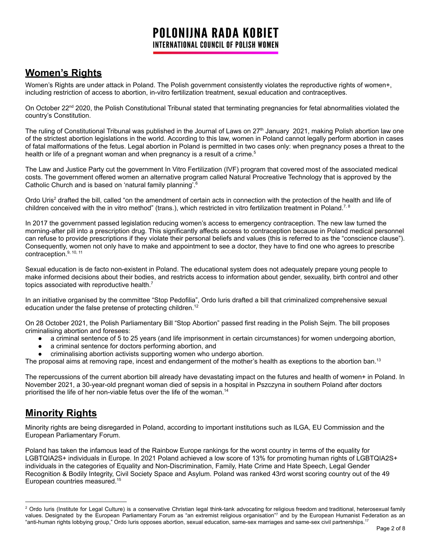## **Women's Rights**

Women's Rights are under attack in Poland. The Polish government consistently violates the reproductive rights of women+, including restriction of access to abortion, in-vitro fertilization treatment, sexual education and contraceptives.

On October 22<sup>nd</sup> 2020, the Polish Constitutional Tribunal stated that terminating pregnancies for fetal abnormalities violated the country's Constitution.

The ruling of Constitutional Tribunal was published in the Journal of Laws on 27<sup>th</sup> January 2021, making Polish abortion law one of the strictest abortion legislations in the world. According to this law, women in Poland cannot legally perform abortion in cases of fatal malformations of the fetus. Legal abortion in Poland is permitted in two cases only: when pregnancy poses a threat to the health or life of a pregnant woman and when pregnancy is a result of a crime.<sup>5</sup>

The Law and Justice Party cut the government In Vitro Fertilization (IVF) program that covered most of the associated medical costs. The government offered women an alternative program called Natural Procreative Technology that is approved by the Catholic Church and is based on 'natural family planning'.<sup>6</sup>

Ordo Uris<sup>2</sup> drafted the bill, called "on the amendment of certain acts in connection with the protection of the health and life of children conceived with the in vitro method" (trans.), which restricted in vitro fertilization treatment in Poland.<sup>7,8</sup>

In 2017 the government passed legislation reducing women's access to emergency contraception. The new law turned the morning-after pill into a prescription drug. This significantly affects access to contraception because in Poland medical personnel can refuse to provide prescriptions if they violate their personal beliefs and values (this is referred to as the "conscience clause"). Consequently, women not only have to make and appointment to see a doctor, they have to find one who agrees to prescribe contraception.<sup>9, 10, 11</sup>

Sexual education is de facto non-existent in Poland. The educational system does not adequately prepare young people to make informed decisions about their bodies, and restricts access to information about gender, sexuality, birth control and other topics associated with reproductive health. $<sup>7</sup>$ </sup>

In an initiative organised by the committee "Stop Pedofilia", Ordo luris drafted a bill that criminalized comprehensive sexual education under the false pretense of protecting children.<sup>12</sup>

On 28 October 2021, the Polish Parliamentary Bill "Stop Abortion" passed first reading in the Polish Sejm. The bill proposes criminalising abortion and foresees:

- a criminal sentence of 5 to 25 years (and life imprisonment in certain circumstances) for women undergoing abortion,
- a criminal sentence for doctors performing abortion, and
- criminalising abortion activists supporting women who undergo abortion.

The proposal aims at removing rape, incest and endangerment of the mother's health as exeptions to the abortion ban.<sup>13</sup>

The repercussions of the current abortion bill already have devastating impact on the futures and health of women+ in Poland. In November 2021, a 30-year-old pregnant woman died of sepsis in a hospital in Pszczyna in southern Poland after doctors prioritised the life of her non-viable fetus over the life of the woman. 14

# **Minority Rights**

Minority rights are being disregarded in Poland, according to important institutions such as ILGA, EU Commission and the European Parliamentary Forum.

Poland has taken the infamous lead of the Rainbow Europe rankings for the worst country in terms of the equality for LGBTQIA2S+ individuals in Europe. In 2021 Poland achieved a low score of 13% for promoting human rights of LGBTQIA2S+ individuals in the categories of Equality and Non-Discrimination, Family, Hate Crime and Hate Speech, Legal Gender Recognition & Bodily Integrity, Civil Society Space and Asylum. Poland was ranked 43rd worst scoring country out of the 49 European countries measured. 15

<sup>&</sup>lt;sup>2</sup> Ordo Iuris (Institute for Legal Culture) is a conservative Christian legal think-tank advocating for religious freedom and traditional, heterosexual family values. Designated by the European Parliamentary Forum as "an extremist religious organisation"7 and by the European Humanist Federation as an "anti-human rights lobbying group," Ordo Iuris opposes abortion, sexual education, same-sex marriages and same-sex civil partnerships. 17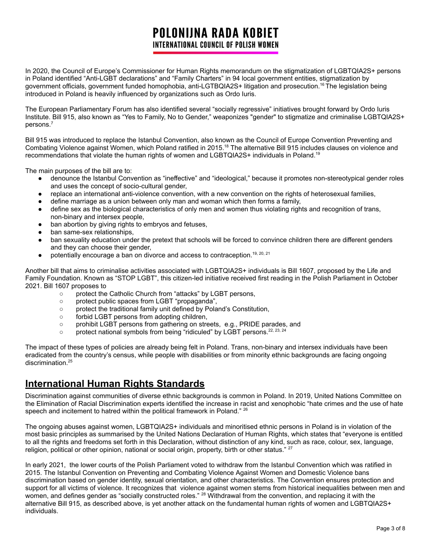In 2020, the Council of Europe's Commissioner for Human Rights memorandum on the stigmatization of LGBTQIA2S+ persons in Poland identified "Anti-LGBT declarations" and "Family Charters" in 94 local government entities, stigmatization by government officials, government funded homophobia, anti-LGTBQIA2S+ litigation and prosecution. <sup>16</sup> The legislation being introduced in Poland is heavily influenced by organizations such as Ordo Iuris.

The European Parliamentary Forum has also identified several "socially regressive" initiatives brought forward by Ordo Iuris Institute. Bill 915, also known as "Yes to Family, No to Gender," weaponizes "gender" to stigmatize and criminalise LGBTQIA2S+ persons. 7

Bill 915 was introduced to replace the Istanbul Convention, also known as the Council of Europe Convention Preventing and Combating Violence against Women, which Poland ratified in 2015.<sup>18</sup> The alternative Bill 915 includes clauses on violence and recommendations that violate the human rights of women and LGBTQIA2S+ individuals in Poland.<sup>19</sup>

The main purposes of the bill are to:

- denounce the Istanbul Convention as "ineffective" and "ideological," because it promotes non-stereotypical gender roles and uses the concept of socio-cultural gender,
- replace an international anti-violence convention, with a new convention on the rights of heterosexual families,
- define marriage as a union between only man and woman which then forms a family,
- define sex as the biological characteristics of only men and women thus violating rights and recognition of trans, non-binary and intersex people,
- ban abortion by giving rights to embryos and fetuses,
- ban same-sex relationships,
- ban sexuality education under the pretext that schools will be forced to convince children there are different genders and they can choose their gender,
- $\bullet$  potentially encourage a ban on divorce and access to contraception.<sup>19, 20, 21</sup>

Another bill that aims to criminalise activities associated with LGBTQIA2S+ individuals is Bill 1607, proposed by the Life and Family Foundation. Known as "STOP LGBT", this citizen-led initiative received first reading in the Polish Parliament in October 2021. Bill 1607 proposes to

- protect the Catholic Church from "attacks" by LGBT persons,
- protect public spaces from LGBT "propaganda",
- protect the traditional family unit defined by Poland's Constitution,
- forbid LGBT persons from adopting children,
- o prohibit LGBT persons from gathering on streets, e.g., PRIDE parades, and
- $\circ$  protect national symbols from being "ridiculed" by LGBT persons.  $22, 23, 24$

The impact of these types of policies are already being felt in Poland. Trans, non-binary and intersex individuals have been eradicated from the country's census, while people with disabilities or from minority ethnic backgrounds are facing ongoing discrimination. 25

#### **International Human Rights Standards**

Discrimination against communities of diverse ethnic backgrounds is common in Poland. In 2019, United Nations Committee on the Elimination of Racial Discrimination experts identified the increase in racist and xenophobic "hate crimes and the use of hate speech and incitement to hatred within the political framework in Poland." <sup>26</sup>

The ongoing abuses against women, LGBTQIA2S+ individuals and minoritised ethnic persons in Poland is in violation of the most basic principles as summarised by the United Nations Declaration of Human Rights, which states that "everyone is entitled to all the rights and freedoms set forth in this Declaration, without distinction of any kind, such as race, colour, sex, language, religion, political or other opinion, national or social origin, property, birth or other status." <sup>27</sup>

In early 2021, the lower courts of the Polish Parliament voted to withdraw from the Istanbul Convention which was ratified in 2015. The Istanbul Convention on Preventing and Combating Violence Against Women and Domestic Violence bans discrimination based on gender identity, sexual orientation, and other characteristics. The Convention ensures protection and support for all victims of violence. It recognizes that violence against women stems from historical inequalities between men and women, and defines gender as "socially constructed roles." <sup>28</sup> Withdrawal from the convention, and replacing it with the alternative Bill 915, as described above, is yet another attack on the fundamental human rights of women and LGBTQIA2S+ individuals.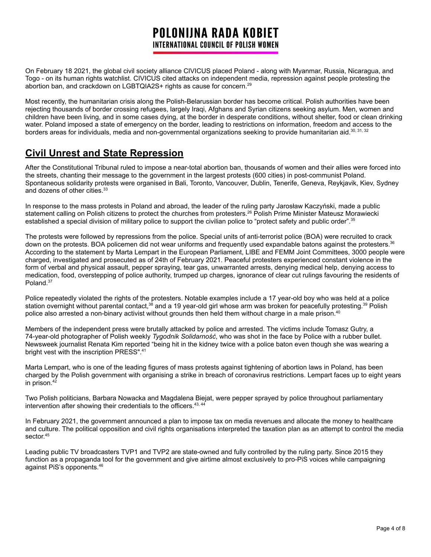On February 18 2021, the global civil society alliance CIVICUS placed Poland - along with Myanmar, Russia, Nicaragua, and Togo - on its human rights watchlist. CIVICUS cited attacks on independent media, repression against people protesting the abortion ban, and crackdown on LGBTQIA2S+ rights as cause for concern.<sup>29</sup>

Most recently, the humanitarian crisis along the Polish-Belarussian border has become critical. Polish authorities have been rejecting thousands of border crossing refugees, largely Iraqi, Afghans and Syrian citizens seeking asylum. Men, women and children have been living, and in some cases dying, at the border in desperate conditions, without shelter, food or clean drinking water. Poland imposed a state of emergency on the border, leading to restrictions on information, freedom and access to the borders areas for individuals, media and non-governmental organizations seeking to provide humanitarian aid.<sup>30, 31, 32</sup>

# **Civil Unrest and State Repression**

After the Constitutional Tribunal ruled to impose a near-total abortion ban, thousands of women and their allies were forced into the streets, chanting their message to the government in the largest protests (600 cities) in post-communist Poland. Spontaneous solidarity protests were organised in Bali, Toronto, Vancouver, Dublin, Tenerife, Geneva, Reykjavik, Kiev, Sydney and dozens of other cities. 33

In response to the mass protests in Poland and abroad, the leader of the ruling party Jarosław Kaczyński, made a public statement calling on Polish citizens to protect the churches from protesters.<sup>26</sup> Polish Prime Minister Mateusz Morawiecki established a special division of military police to support the civilian police to "protect safety and public order".<sup>35</sup>

The protests were followed by repressions from the police. Special units of anti-terrorist police (BOA) were recruited to crack down on the protests. BOA policemen did not wear uniforms and frequently used expandable batons against the protesters.<sup>36</sup> According to the statement by Marta Lempart in the European Parliament, LIBE and FEMM Joint Committees, 3000 people were charged, investigated and prosecuted as of 24th of February 2021. Peaceful protesters experienced constant violence in the form of verbal and physical assault, pepper spraying, tear gas, unwarranted arrests, denying medical help, denying access to medication, food, overstepping of police authority, trumped up charges, ignorance of clear cut rulings favouring the residents of Poland.<sup>37</sup>

Police repeatedly violated the rights of the protesters. Notable examples include a 17 year-old boy who was held at a police station overnight without parental contact,<sup>38</sup> and a 19 year-old girl whose arm was broken for peacefully protesting.<sup>39</sup> Polish police also arrested a non-binary activist without grounds then held them without charge in a male prison. 40

Members of the independent press were brutally attacked by police and arrested. The victims include Tomasz Gutry, a 74-year-old photographer of Polish weekly *Tygodnik Solidarność*, who was shot in the face by Police with a rubber bullet. Newsweek journalist Renata Kim reported "being hit in the kidney twice with a police baton even though she was wearing a bright vest with the inscription PRESS".<sup>41</sup>

Marta Lempart, who is one of the leading figures of mass protests against tightening of abortion laws in Poland, has been charged by the Polish government with organising a strike in breach of coronavirus restrictions. Lempart faces up to eight years in prison. 42

Two Polish politicians, Barbara Nowacka and Magdalena Biejat, were pepper sprayed by police throughout parliamentary intervention after showing their credentials to the officers.<sup>43, 44</sup>

In February 2021, the government announced a plan to impose tax on media revenues and allocate the money to healthcare and culture. The political opposition and civil rights organisations interpreted the taxation plan as an attempt to control the media sector. 45

Leading public TV broadcasters TVP1 and TVP2 are state-owned and fully controlled by the ruling party. Since 2015 they function as a propaganda tool for the government and give airtime almost exclusively to pro-PiS voices while campaigning against PiS's opponents. 46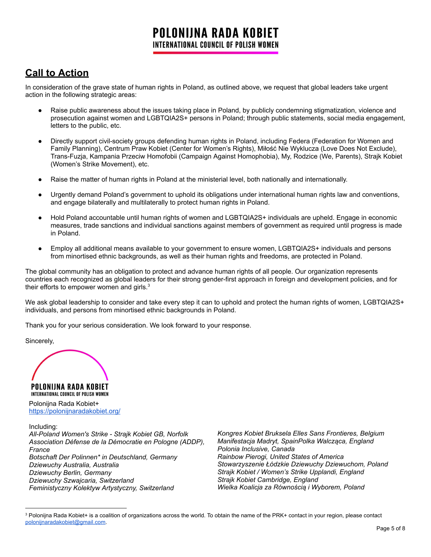# **Call to Action**

In consideration of the grave state of human rights in Poland, as outlined above, we request that global leaders take urgent action in the following strategic areas:

- Raise public awareness about the issues taking place in Poland, by publicly condemning stigmatization, violence and prosecution against women and LGBTQIA2S+ persons in Poland; through public statements, social media engagement, letters to the public, etc.
- Directly support civil-society groups defending human rights in Poland, including Federa (Federation for Women and Family Planning), Centrum Praw Kobiet (Center for Women's Rights), Miłość Nie Wyklucza (Love Does Not Exclude), Trans-Fuzja, Kampania Przeciw Homofobii (Campaign Against Homophobia), My, Rodzice (We, Parents), Strajk Kobiet (Women's Strike Movement), etc.
- Raise the matter of human rights in Poland at the ministerial level, both nationally and internationally.
- Urgently demand Poland's government to uphold its obligations under international human rights law and conventions, and engage bilaterally and multilaterally to protect human rights in Poland.
- Hold Poland accountable until human rights of women and LGBTQIA2S+ individuals are upheld. Engage in economic measures, trade sanctions and individual sanctions against members of government as required until progress is made in Poland.
- Employ all additional means available to your government to ensure women, LGBTQIA2S+ individuals and persons from minortised ethnic backgrounds, as well as their human rights and freedoms, are protected in Poland.

The global community has an obligation to protect and advance human rights of all people. Our organization represents countries each recognized as global leaders for their strong gender-first approach in foreign and development policies, and for their efforts to empower women and girls. $3$ 

We ask global leadership to consider and take every step it can to uphold and protect the human rights of women, LGBTQIA2S+ individuals, and persons from minortised ethnic backgrounds in Poland.

Thank you for your serious consideration. We look forward to your response.

Sincerely,

POLONIJNA RADA KOBIET

INTERNATIONAL COUNCIL OF POLISH WOMEN Polonijna Rada Kobiet+ <https://polonijnaradakobiet.org/>

Including:

*All-Poland Women's Strike - Strajk Kobiet GB, Norfolk Association Défense de la Démocratie en Pologne (ADDP), France Botschaft Der Polinnen\* in Deutschland, Germany Dziewuchy Australia, Australia Dziewuchy Berlin, Germany Dziewuchy Szwajcaria, Switzerland Feministyczny Kolektyw Artystyczny, Switzerland*

*Kongres Kobiet Bruksela Elles Sans Frontieres, Belgium Manifestacja Madryt, SpainPolka Walcząca, England Polonia Inclusive, Canada Rainbow Pierogi, United States of America Stowarzyszenie Łódzkie Dziewuchy Dziewuchom, Poland Strajk Kobiet / Women's Strike Upplandi, England Strajk Kobiet Cambridge, England Wielka Koalicja za Równością i Wyborem, Poland*

<sup>&</sup>lt;sup>3</sup> Polonijna Rada Kobiet+ is a coalition of organizations across the world. To obtain the name of the PRK+ contact in your region, please contact [polonijnaradakobiet@gmail.com.](mailto:polonijnaradakobiet@gmail.com)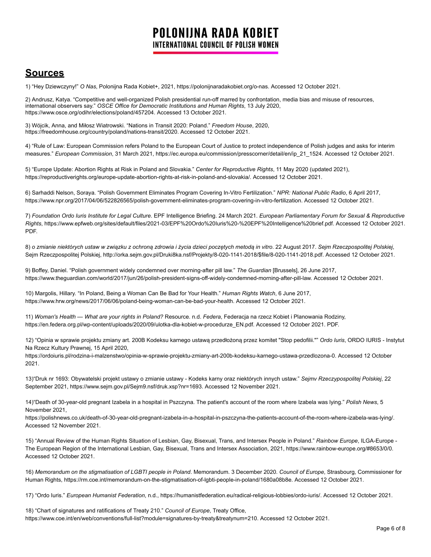## **Sources**

1) "Hey Dziewczyny!" *O Nas*, Polonijna Rada Kobiet+, 2021, https://polonijnaradakobiet.org/o-nas. Accessed 12 October 2021.

2) Andrusz, Katya. "Competitive and well-organized Polish presidential run-off marred by confrontation, media bias and misuse of resources, international observers say." *OSCE Office for Democratic Institutions and Human Rights*, 13 July 2020, https://www.osce.org/odihr/elections/poland/457204. Accessed 13 October 2021.

3) Wójcik, Anna, and Miłosz Wiatrowski. "Nations in Transit 2020: Poland." *Freedom House*, 2020, https://freedomhouse.org/country/poland/nations-transit/2020. Accessed 12 October 2021.

4) "Rule of Law: European Commission refers Poland to the European Court of Justice to protect independence of Polish judges and asks for interim measures." *European Commission*, 31 March 2021, https://ec.europa.eu/commission/presscorner/detail/en/ip\_21\_1524. Accessed 12 October 2021.

5) "Europe Update: Abortion Rights at Risk in Poland and Slovakia." *Center for Reproductive Rights*, 11 May 2020 (updated 2021), https://reproductiverights.org/europe-update-abortion-rights-at-risk-in-poland-and-slovakia/. Accessed 12 October 2021.

6) Sarhaddi Nelson, Soraya. "Polish Government Eliminates Program Covering In-Vitro Fertilization." *NPR: National Public Radio*, 6 April 2017, https://www.npr.org/2017/04/06/522826565/polish-government-eliminates-program-covering-in-vitro-fertilization. Accessed 12 October 2021.

7) Foundation Ordo Iuris Institute for Legal Culture. EPF Intelligence Briefing. 24 March 2021. European Parliamentary Forum for Sexual & Reproductive *Rights*, https://www.epfweb.org/sites/default/files/2021-03/EPF%20Ordo%20Iuris%20-%20EPF%20Intelligence%20brief.pdf. Accessed 12 October 2021. PDF.

8) o zmianie niektórych ustaw w związku z ochroną zdrowia i życia dzieci poczętych metodą in vitro. 22 August 2017. Sejm Rzeczpospolitej Polskiej, Sejm Rzeczpospolitej Polskiej, http://orka.sejm.gov.pl/Druki8ka.nsf/Projekty/8-020-1141-2018/\$file/8-020-1141-2018.pdf. Accessed 12 October 2021.

9) Boffey, Daniel. "Polish government widely condemned over morning-after pill law." *The Guardian* [Brussels], 26 June 2017, https://www.theguardian.com/world/2017/jun/26/polish-president-signs-off-widely-condemned-morning-after-pill-law. Accessed 12 October 2021.

10) Margolis, Hillary. "In Poland, Being a Woman Can Be Bad for Your Health." *Human Rights Watch*, 6 June 2017, https://www.hrw.org/news/2017/06/06/poland-being-woman-can-be-bad-your-health. Accessed 12 October 2021.

11) *Woman's Health — What are your rights in Poland?* Resource. n.d. *Federa*, Federacja na rzecz Kobiet i Planowania Rodziny, https://en.federa.org.pl/wp-content/uploads/2020/09/ulotka-dla-kobiet-w-procedurze\_EN.pdf. Accessed 12 October 2021. PDF.

12) "Opinia w sprawie projektu zmiany art. 200B Kodeksu karnego ustawą przedłożoną przez komitet "Stop pedofilii."" *Ordo Iuris*, ORDO IURIS - Instytut Na Rzecz Kultury Prawnej, 15 April 2020,

https://ordoiuris.pl/rodzina-i-malzenstwo/opinia-w-sprawie-projektu-zmiany-art-200b-kodeksu-karnego-ustawa-przedlozona-0. Accessed 12 October 2021.

13)"Druk nr 1693: Obywatelski projekt ustawy o zmianie ustawy - Kodeks karny oraz niektórych innych ustaw." *Sejmv Rzeczypospolitej Polskiej*, 22 September 2021, https://www.sejm.gov.pl/Sejm9.nsf/druk.xsp?nr=1693. Accessed 12 November 2021.

14)"Death of 30-year-old pregnant Izabela in a hospital in Pszczyna. The patient's account of the room where Izabela was lying." *Polish News*, 5 November 2021,

https://polishnews.co.uk/death-of-30-year-old-pregnant-izabela-in-a-hospital-in-pszczyna-the-patients-account-of-the-room-where-izabela-was-lying/. Accessed 12 November 2021.

15) "Annual Review of the Human Rights Situation of Lesbian, Gay, Bisexual, Trans, and Intersex People in Poland." *Rainbow Europe*, ILGA-Europe - The European Region of the International Lesbian, Gay, Bisexual, Trans and Intersex Association, 2021, https://www.rainbow-europe.org/#8653/0/0. Accessed 12 October 2021.

16) *Memorandum on the stigmatisation of LGBTI people in Poland*. Memorandum. 3 December 2020. *Council of Europe*, Strasbourg, Commissioner for Human Rights, https://rm.coe.int/memorandum-on-the-stigmatisation-of-lgbti-people-in-poland/1680a08b8e. Accessed 12 October 2021.

17) "Ordo Iuris." *European Humanist Federation*, n.d., https://humanistfederation.eu/radical-religious-lobbies/ordo-iuris/. Accessed 12 October 2021.

18) "Chart of signatures and ratifications of Treaty 210." *Council of Europe*, Treaty Office, https://www.coe.int/en/web/conventions/full-list?module=signatures-by-treaty&treatynum=210. Accessed 12 October 2021.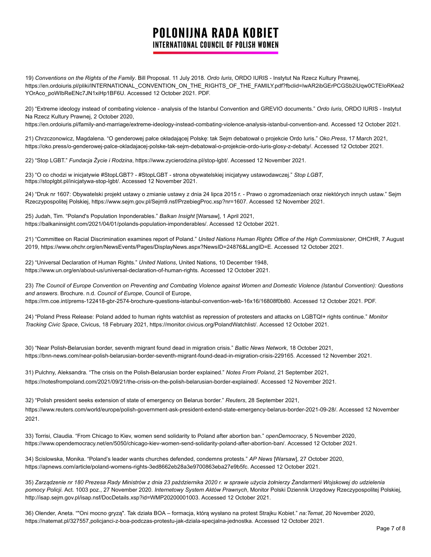19) *Conventions on the Rights of the Family*. Bill Proposal. 11 July 2018. *Ordo Iuris*, ORDO IURIS - Instytut Na Rzecz Kultury Prawnej, https://en.ordoiuris.pl/pliki/INTERNATIONAL\_CONVENTION\_ON\_THE\_RIGHTS\_OF\_THE\_FAMILY.pdf?fbclid=IwAR2ibGErPCGSb2iUqw0CTEIoRKea2 YOrAco\_poWIbReENc7JN1xiHp1BF6U. Accessed 12 October 2021. PDF.

20) "Extreme ideology instead of combating violence - analysis of the Istanbul Convention and GREVIO documents." *Ordo Iuris*, ORDO IURIS - Instytut Na Rzecz Kultury Prawnej, 2 October 2020,

https://en.ordoiuris.pl/family-and-marriage/extreme-ideology-instead-combating-violence-analysis-istanbul-convention-and. Accessed 12 October 2021.

21) Chrzczonowicz, Magdalena. "O genderowej pałce okładającej Polskę: tak Sejm debatował o projekcie Ordo Iuris." *Oko.Press*, 17 March 2021, https://oko.press/o-genderowej-palce-okladajacej-polske-tak-sejm-debatowal-o-projekcie-ordo-iuris-glosy-z-debaty/. Accessed 12 October 2021.

22) "Stop LGBT." *Fundacja Życie i Rodzina*, https://www.zycierodzina.pl/stop-lgbt/. Accessed 12 November 2021.

23) "O co chodzi w inicjatywie #StopLGBT? - #StopLGBT - strona obywatelskiej inicjatywy ustawodawczej." *Stop LGBT*, https://stoplgbt.pl/inicjatywa-stop-lgbt/. Accessed 12 November 2021.

24) "Druk nr 1607: Obywatelski projekt ustawy o zmianie ustawy z dnia 24 lipca 2015 r. - Prawo o zgromadzeniach oraz niektórych innych ustaw." Sejm Rzeczypospolitej Polskiej, [https://www.sejm.gov.pl/Sejm9.nsf/PrzebiegProc.xsp?nr=1607.](https://www.sejm.gov.pl/Sejm9.nsf/PrzebiegProc.xsp?nr=1607) Accessed 12 November 2021.

25) Judah, Tim. "Poland's Population Inponderables." *Balkan Insight* [Warsaw], 1 April 2021, https://balkaninsight.com/2021/04/01/polands-population-imponderables/. Accessed 12 October 2021.

21) "Committee on Racial Discrimination examines report of Poland." *United Nations Human Rights Office of the High Commissioner*, OHCHR, 7 August 2019, https://www.ohchr.org/en/NewsEvents/Pages/DisplayNews.aspx?NewsID=24876&LangID=E. Accessed 12 October 2021.

22) "Universal Declaration of Human Rights." *United Nations*, United Nations, 10 December 1948, https://www.un.org/en/about-us/universal-declaration-of-human-rights. Accessed 12 October 2021.

23) The Council of Europe Convention on Preventing and Combating Violence against Women and Domestic Violence (Istanbul Convention): Questions *and answers*. Brochure. n.d. *Council of Europe*, Council of Europe, https://rm.coe.int/prems-122418-gbr-2574-brochure-questions-istanbul-convention-web-16x16/16808f0b80. Accessed 12 October 2021. PDF.

24) "Poland Press Release: Poland added to human rights watchlist as repression of protesters and attacks on LGBTQI+ rights continue." *Monitor Tracking Civic Space*, Civicus, 18 February 2021, https://monitor.civicus.org/PolandWatchlist/. Accessed 12 October 2021.

30) "Near Polish-Belarusian border, seventh migrant found dead in migration crisis." *Baltic News Network*, 18 October 2021, https://bnn-news.com/near-polish-belarusian-border-seventh-migrant-found-dead-in-migration-crisis-229165. Accessed 12 November 2021.

31) Pulchny, Aleksandra. "The crisis on the Polish-Belarusian border explained." *Notes From Poland*, 21 September 2021, https://notesfrompoland.com/2021/09/21/the-crisis-on-the-polish-belarusian-border-explained/. Accessed 12 November 2021.

32) "Polish president seeks extension of state of emergency on Belarus border." *Reuters*, 28 September 2021, https://www.reuters.com/world/europe/polish-government-ask-president-extend-state-emergency-belarus-border-2021-09-28/. Accessed 12 November 2021.

33) Torrisi, Claudia. "From Chicago to Kiev, women send solidarity to Poland after abortion ban." *openDemocracy*, 5 November 2020, https://www.opendemocracy.net/en/5050/chicago-kiev-women-send-solidarity-poland-after-abortion-ban/. Accessed 12 October 2021.

34) Scislowska, Monika. "Poland's leader wants churches defended, condemns protests." *AP News* [Warsaw], 27 October 2020, https://apnews.com/article/poland-womens-rights-3ed8662eb28a3e9700863eba27e9b5fc. Accessed 12 October 2021.

35) Zarządzenie nr 180 Prezesa Rady Ministrów z dnia 23 października 2020 r. w sprawie użycia żołnierzy Żandarmerii Wojskowej do udzielenia *pomocy Policji*. Act. 1003 poz., 27 November 2020. *Internetowy System Aktów Prawnych*, Monitor Polski Dziennik Urzędowy Rzeczypospolitej Polskiej, http://isap.sejm.gov.pl/isap.nsf/DocDetails.xsp?id=WMP20200001003. Accessed 12 October 2021.

36) Olender, Aneta. ""Oni mocno gryzą". Tak działa BOA – formacja, którą wysłano na protest Strajku Kobiet." *na:Temat*, 20 November 2020, https://natemat.pl/327557,policjanci-z-boa-podczas-protestu-jak-dziala-specjalna-jednostka. Accessed 12 October 2021.